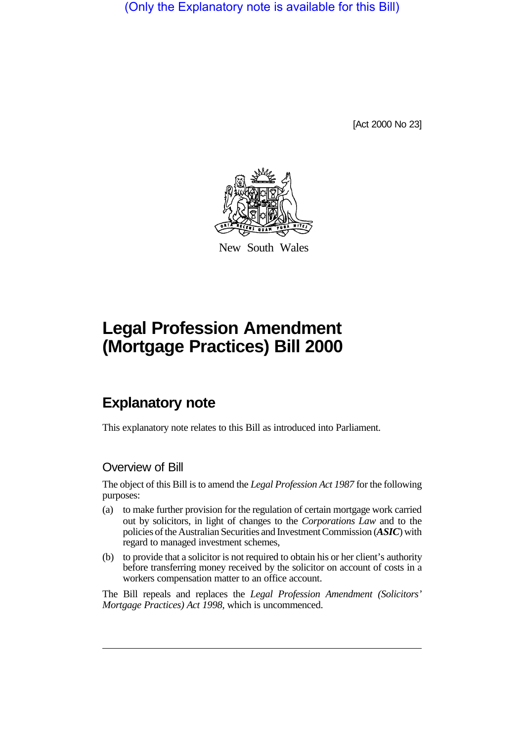(Only the Explanatory note is available for this Bill)

[Act 2000 No 23]



New South Wales

# **Legal Profession Amendment (Mortgage Practices) Bill 2000**

# **Explanatory note**

This explanatory note relates to this Bill as introduced into Parliament.

## Overview of Bill

The object of this Bill is to amend the *Legal Profession Act 1987* for the following purposes:

- (a) to make further provision for the regulation of certain mortgage work carried out by solicitors, in light of changes to the *Corporations Law* and to the policies of the Australian Securities and Investment Commission (*ASIC*) with regard to managed investment schemes,
- (b) to provide that a solicitor is not required to obtain his or her client's authority before transferring money received by the solicitor on account of costs in a workers compensation matter to an office account.

The Bill repeals and replaces the *Legal Profession Amendment (Solicitors' Mortgage Practices) Act 1998*, which is uncommenced.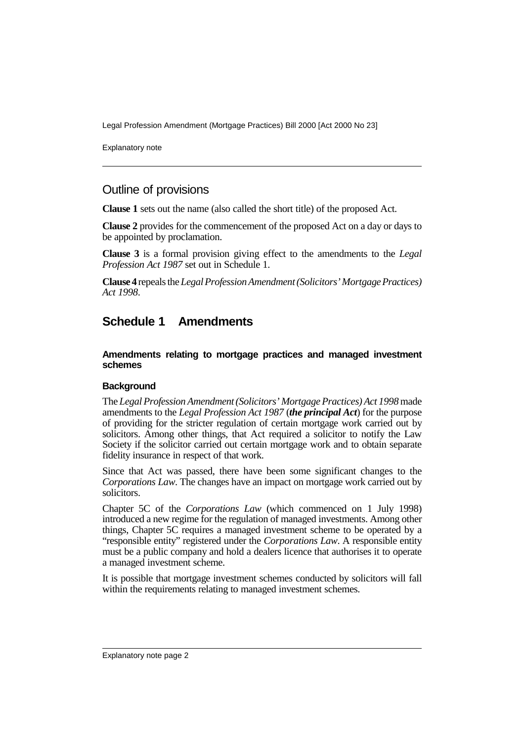Explanatory note

## Outline of provisions

**Clause 1** sets out the name (also called the short title) of the proposed Act.

**Clause 2** provides for the commencement of the proposed Act on a day or days to be appointed by proclamation.

**Clause 3** is a formal provision giving effect to the amendments to the *Legal Profession Act 1987* set out in Schedule 1.

**Clause 4** repeals the *Legal Profession Amendment (Solicitors' Mortgage Practices) Act 1998*.

# **Schedule 1 Amendments**

**Amendments relating to mortgage practices and managed investment schemes**

#### **Background**

The *Legal Profession Amendment (Solicitors' Mortgage Practices) Act 1998* made amendments to the *Legal Profession Act 1987* (*the principal Act*) for the purpose of providing for the stricter regulation of certain mortgage work carried out by solicitors. Among other things, that Act required a solicitor to notify the Law Society if the solicitor carried out certain mortgage work and to obtain separate fidelity insurance in respect of that work.

Since that Act was passed, there have been some significant changes to the *Corporations Law*. The changes have an impact on mortgage work carried out by solicitors.

Chapter 5C of the *Corporations Law* (which commenced on 1 July 1998) introduced a new regime for the regulation of managed investments. Among other things, Chapter 5C requires a managed investment scheme to be operated by a "responsible entity" registered under the *Corporations Law*. A responsible entity must be a public company and hold a dealers licence that authorises it to operate a managed investment scheme.

It is possible that mortgage investment schemes conducted by solicitors will fall within the requirements relating to managed investment schemes.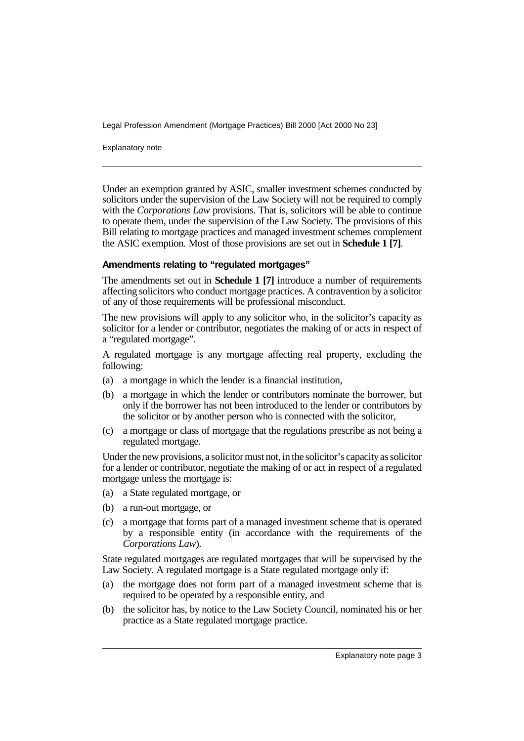Explanatory note

Under an exemption granted by ASIC, smaller investment schemes conducted by solicitors under the supervision of the Law Society will not be required to comply with the *Corporations Law* provisions. That is, solicitors will be able to continue to operate them, under the supervision of the Law Society. The provisions of this Bill relating to mortgage practices and managed investment schemes complement the ASIC exemption. Most of those provisions are set out in **Schedule 1 [7]**.

#### **Amendments relating to "regulated mortgages"**

The amendments set out in **Schedule 1 [7]** introduce a number of requirements affecting solicitors who conduct mortgage practices. A contravention by a solicitor of any of those requirements will be professional misconduct.

The new provisions will apply to any solicitor who, in the solicitor's capacity as solicitor for a lender or contributor, negotiates the making of or acts in respect of a "regulated mortgage".

A regulated mortgage is any mortgage affecting real property, excluding the following:

- (a) a mortgage in which the lender is a financial institution,
- (b) a mortgage in which the lender or contributors nominate the borrower, but only if the borrower has not been introduced to the lender or contributors by the solicitor or by another person who is connected with the solicitor,
- (c) a mortgage or class of mortgage that the regulations prescribe as not being a regulated mortgage.

Under the new provisions, a solicitor must not, in the solicitor's capacity as solicitor for a lender or contributor, negotiate the making of or act in respect of a regulated mortgage unless the mortgage is:

- (a) a State regulated mortgage, or
- (b) a run-out mortgage, or
- (c) a mortgage that forms part of a managed investment scheme that is operated by a responsible entity (in accordance with the requirements of the *Corporations Law*).

State regulated mortgages are regulated mortgages that will be supervised by the Law Society. A regulated mortgage is a State regulated mortgage only if:

- (a) the mortgage does not form part of a managed investment scheme that is required to be operated by a responsible entity, and
- (b) the solicitor has, by notice to the Law Society Council, nominated his or her practice as a State regulated mortgage practice.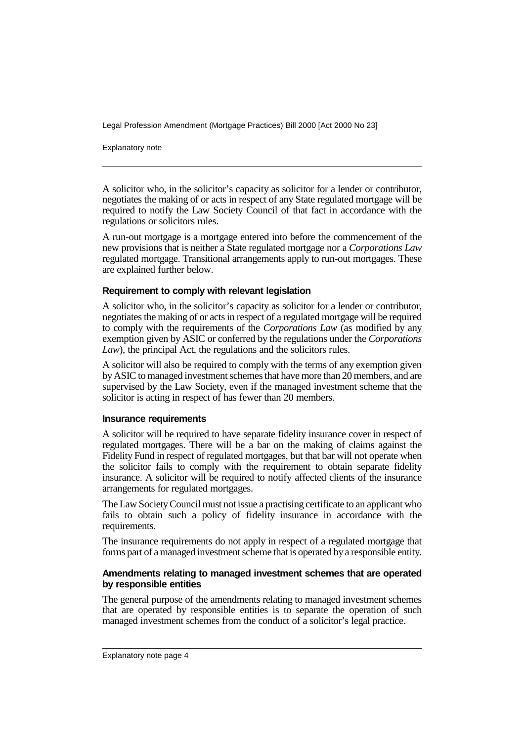Explanatory note

A solicitor who, in the solicitor's capacity as solicitor for a lender or contributor, negotiates the making of or acts in respect of any State regulated mortgage will be required to notify the Law Society Council of that fact in accordance with the regulations or solicitors rules.

A run-out mortgage is a mortgage entered into before the commencement of the new provisions that is neither a State regulated mortgage nor a *Corporations Law* regulated mortgage. Transitional arrangements apply to run-out mortgages. These are explained further below.

#### **Requirement to comply with relevant legislation**

A solicitor who, in the solicitor's capacity as solicitor for a lender or contributor, negotiates the making of or acts in respect of a regulated mortgage will be required to comply with the requirements of the *Corporations Law* (as modified by any exemption given by ASIC or conferred by the regulations under the *Corporations Law*), the principal Act, the regulations and the solicitors rules.

A solicitor will also be required to comply with the terms of any exemption given by ASIC to managed investment schemes that have more than 20 members, and are supervised by the Law Society, even if the managed investment scheme that the solicitor is acting in respect of has fewer than 20 members.

#### **Insurance requirements**

A solicitor will be required to have separate fidelity insurance cover in respect of regulated mortgages. There will be a bar on the making of claims against the Fidelity Fund in respect of regulated mortgages, but that bar will not operate when the solicitor fails to comply with the requirement to obtain separate fidelity insurance. A solicitor will be required to notify affected clients of the insurance arrangements for regulated mortgages.

The Law Society Council must not issue a practising certificate to an applicant who fails to obtain such a policy of fidelity insurance in accordance with the requirements.

The insurance requirements do not apply in respect of a regulated mortgage that forms part of a managed investment scheme that is operated by a responsible entity.

#### **Amendments relating to managed investment schemes that are operated by responsible entities**

The general purpose of the amendments relating to managed investment schemes that are operated by responsible entities is to separate the operation of such managed investment schemes from the conduct of a solicitor's legal practice.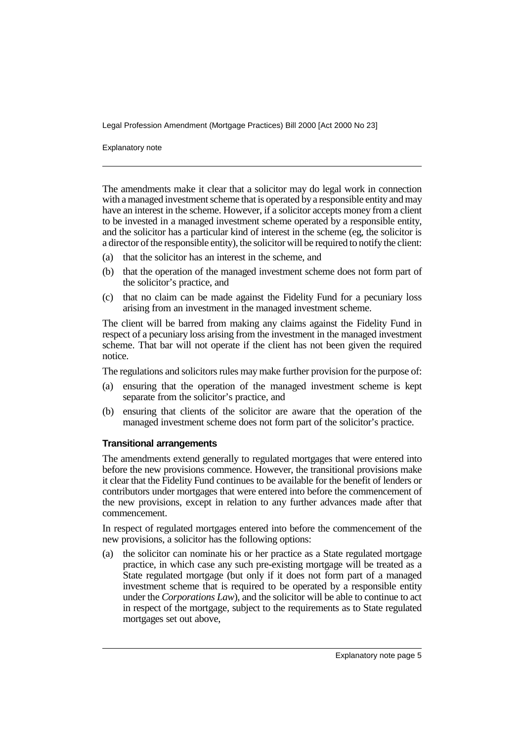Explanatory note

The amendments make it clear that a solicitor may do legal work in connection with a managed investment scheme that is operated by a responsible entity and may have an interest in the scheme. However, if a solicitor accepts money from a client to be invested in a managed investment scheme operated by a responsible entity, and the solicitor has a particular kind of interest in the scheme (eg, the solicitor is a director of the responsible entity), the solicitor will be required to notify the client:

- (a) that the solicitor has an interest in the scheme, and
- (b) that the operation of the managed investment scheme does not form part of the solicitor's practice, and
- (c) that no claim can be made against the Fidelity Fund for a pecuniary loss arising from an investment in the managed investment scheme.

The client will be barred from making any claims against the Fidelity Fund in respect of a pecuniary loss arising from the investment in the managed investment scheme. That bar will not operate if the client has not been given the required notice.

The regulations and solicitors rules may make further provision for the purpose of:

- (a) ensuring that the operation of the managed investment scheme is kept separate from the solicitor's practice, and
- (b) ensuring that clients of the solicitor are aware that the operation of the managed investment scheme does not form part of the solicitor's practice.

#### **Transitional arrangements**

The amendments extend generally to regulated mortgages that were entered into before the new provisions commence. However, the transitional provisions make it clear that the Fidelity Fund continues to be available for the benefit of lenders or contributors under mortgages that were entered into before the commencement of the new provisions, except in relation to any further advances made after that commencement.

In respect of regulated mortgages entered into before the commencement of the new provisions, a solicitor has the following options:

(a) the solicitor can nominate his or her practice as a State regulated mortgage practice, in which case any such pre-existing mortgage will be treated as a State regulated mortgage (but only if it does not form part of a managed investment scheme that is required to be operated by a responsible entity under the *Corporations Law*), and the solicitor will be able to continue to act in respect of the mortgage, subject to the requirements as to State regulated mortgages set out above,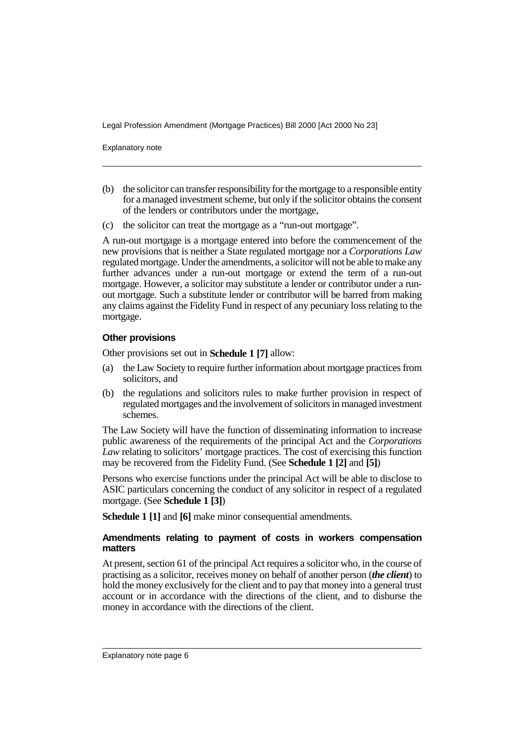Explanatory note

- (b) the solicitor can transfer responsibility for the mortgage to a responsible entity for a managed investment scheme, but only if the solicitor obtains the consent of the lenders or contributors under the mortgage,
- (c) the solicitor can treat the mortgage as a "run-out mortgage".

A run-out mortgage is a mortgage entered into before the commencement of the new provisions that is neither a State regulated mortgage nor a *Corporations Law* regulated mortgage. Under the amendments, a solicitor will not be able to make any further advances under a run-out mortgage or extend the term of a run-out mortgage. However, a solicitor may substitute a lender or contributor under a runout mortgage. Such a substitute lender or contributor will be barred from making any claims against the Fidelity Fund in respect of any pecuniary loss relating to the mortgage.

#### **Other provisions**

Other provisions set out in **Schedule 1 [7]** allow:

- (a) the Law Society to require further information about mortgage practices from solicitors, and
- (b) the regulations and solicitors rules to make further provision in respect of regulated mortgages and the involvement of solicitors in managed investment schemes.

The Law Society will have the function of disseminating information to increase public awareness of the requirements of the principal Act and the *Corporations Law* relating to solicitors' mortgage practices. The cost of exercising this function may be recovered from the Fidelity Fund. (See **Schedule 1 [2]** and **[5]**)

Persons who exercise functions under the principal Act will be able to disclose to ASIC particulars concerning the conduct of any solicitor in respect of a regulated mortgage. (See **Schedule 1 [3]**)

**Schedule 1 [1]** and **[6]** make minor consequential amendments.

#### **Amendments relating to payment of costs in workers compensation matters**

At present, section 61 of the principal Act requires a solicitor who, in the course of practising as a solicitor, receives money on behalf of another person (*the client*) to hold the money exclusively for the client and to pay that money into a general trust account or in accordance with the directions of the client, and to disburse the money in accordance with the directions of the client.